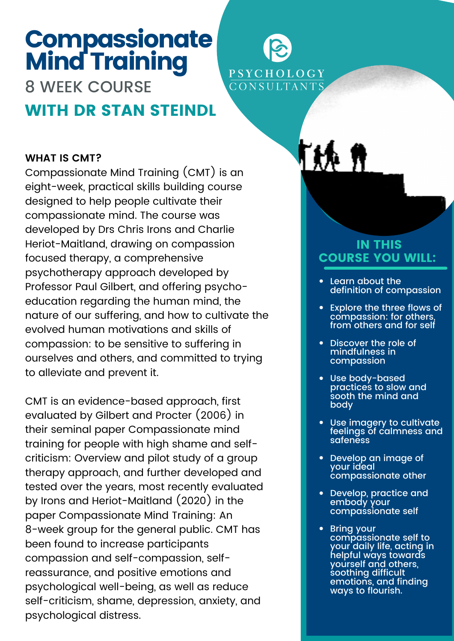# **Compassionate** Mind Training

8 WEEK COURSE WITH DR STAN STEINDL

#### **WHAT IS CMT?**

Compassionate Mind Training (CMT) is an eight-week, practical skills building course designed to help people cultivate their compassionate mind. The course was developed by Drs Chris Irons and Charlie Heriot-Maitland, drawing on compassion focused therapy, a comprehensive psychotherapy approach developed by Professor Paul Gilbert, and offering psychoeducation regarding the human mind, the nature of our suffering, and how to cultivate the evolved human motivations and skills of compassion: to be sensitive to suffering in ourselves and others, and committed to trying to alleviate and prevent it.

CMT is an evidence-based approach, first evaluated by Gilbert and Procter (2006) in their seminal paper Compassionate mind training for people with high shame and selfcriticism: Overview and pilot study of a group therapy approach, and further developed and tested over the years, most recently evaluated by Irons and Heriot-Maitland (2020) in the paper Compassionate Mind Training: An 8-week group for the general public. CMT has been found to increase participants compassion and self-compassion, selfreassurance, and positive emotions and psychological well-being, as well as reduce self-criticism, shame, depression, anxiety, and psychological distress.

### IN THIS COURSE YOU WILL:

PSYCHOLOGY CONSULTANTS

- Learn about the definition of compassion
- Explore the three flows of compassion: for others, from others and for self
- Discover the role of mindfulness in compassion
- Use body-based practices to slow and sooth the mind and body
- Use imagery to cultivate feelings of calmness and safeness
- Develop an image of your ideal compassionate other
- Develop, practice and embody your compassionate self
- Bring your compassionate self to your daily life, acting in helpful ways towards yourself and others, soothing difficult emotions, and finding ways to flourish.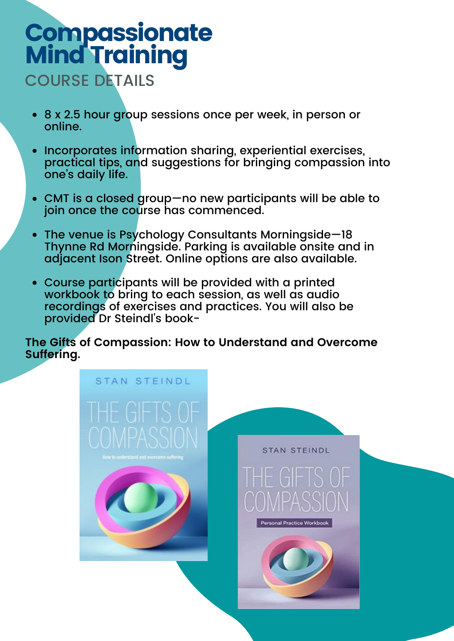## **Compassionate** Mind Training COURSE DETAILS

- 8 x 2.5 hour group sessions once per week, in person or online.
- Incorporates information sharing, experiential exercises, practical tips, and suggestions for bringing compassion into one's daily life.
- CMT is a closed group—no new participants will be able to join once the course has commenced.
- The venue is Psychology Consultants Morningside—18 Thynne Rd Morningside. Parking is available onsite and in adjacent Ison Street. Online options are also available.
- Course participants will be provided with a printed workbook to bring to each session, as well as audio recordings of exercises and practices. You will also be provided Dr Steindl's book-

**The Gifts of Compassion: How to Understand and Overcome Suffering.**